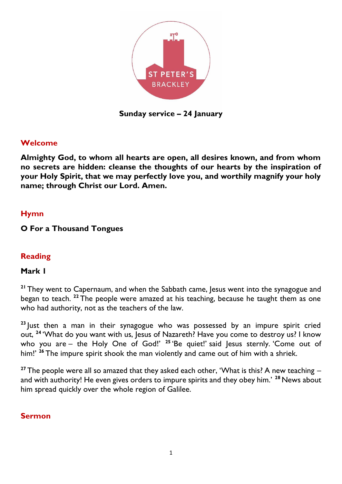

**Sunday service – 24 January**

### **Welcome**

**Almighty God, to whom all hearts are open, all desires known, and from whom no secrets are hidden: cleanse the thoughts of our hearts by the inspiration of your Holy Spirit, that we may perfectly love you, and worthily magnify your holy name; through Christ our Lord. Amen.** 

### **Hymn**

### **O For a Thousand Tongues**

## **Reading**

#### **Mark 1**

**<sup>21</sup>** They went to Capernaum, and when the Sabbath came, Jesus went into the synagogue and began to teach. **<sup>22</sup>** The people were amazed at his teaching, because he taught them as one who had authority, not as the teachers of the law.

**<sup>23</sup>** Just then a man in their synagogue who was possessed by an impure spirit cried out, **<sup>24</sup>** 'What do you want with us, Jesus of Nazareth? Have you come to destroy us? I know who you are – the Holy One of God!' <sup>25</sup> 'Be quiet!' said lesus sternly. 'Come out of him!' **<sup>26</sup>** The impure spirit shook the man violently and came out of him with a shriek.

**<sup>27</sup>** The people were all so amazed that they asked each other, 'What is this? A new teaching – and with authority! He even gives orders to impure spirits and they obey him.' **<sup>28</sup>** News about him spread quickly over the whole region of Galilee.

#### **Sermon**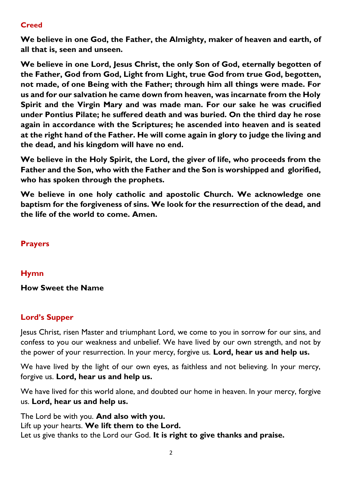## **Creed**

**We believe in one God, the Father, the Almighty, maker of heaven and earth, of all that is, seen and unseen.** 

**We believe in one Lord, Jesus Christ, the only Son of God, eternally begotten of the Father, God from God, Light from Light, true God from true God, begotten, not made, of one Being with the Father; through him all things were made. For us and for our salvation he came down from heaven, was incarnate from the Holy Spirit and the Virgin Mary and was made man. For our sake he was crucified under Pontius Pilate; he suffered death and was buried. On the third day he rose again in accordance with the Scriptures; he ascended into heaven and is seated at the right hand of the Father. He will come again in glory to judge the living and the dead, and his kingdom will have no end.**

**We believe in the Holy Spirit, the Lord, the giver of life, who proceeds from the Father and the Son, who with the Father and the Son is worshipped and glorified, who has spoken through the prophets.** 

**We believe in one holy catholic and apostolic Church. We acknowledge one baptism for the forgiveness of sins. We look for the resurrection of the dead, and the life of the world to come. Amen.**

## **Prayers**

# **Hymn**

## **How Sweet the Name**

## **Lord's Supper**

Jesus Christ, risen Master and triumphant Lord, we come to you in sorrow for our sins, and confess to you our weakness and unbelief. We have lived by our own strength, and not by the power of your resurrection. In your mercy, forgive us. **Lord, hear us and help us.**

We have lived by the light of our own eyes, as faithless and not believing. In your mercy, forgive us. **Lord, hear us and help us.**

We have lived for this world alone, and doubted our home in heaven. In your mercy, forgive us. **Lord, hear us and help us.**

The Lord be with you. **And also with you.** Lift up your hearts. **We lift them to the Lord.** Let us give thanks to the Lord our God. **It is right to give thanks and praise.**